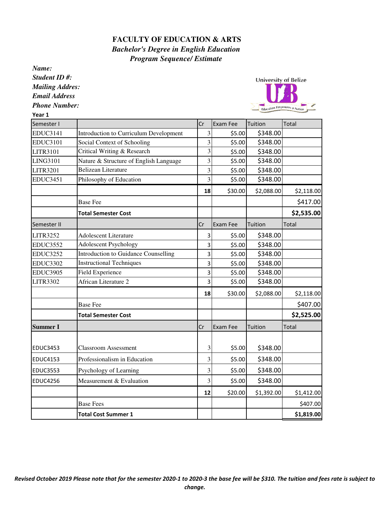## **FACULTY OF EDUCATION & ARTS** *Bachelor's Degree in English Education Program Sequence/ Estimate*

*Name:*

*Student ID #:*

*Mailing Addres: Email Address*

*Phone Number:*

Year 1

University of Belize Education Empowers a Nation

| Semester I      |                                               | Cr                      | Exam Fee | Tuition    | Total      |
|-----------------|-----------------------------------------------|-------------------------|----------|------------|------------|
| <b>EDUC3141</b> | <b>Introduction to Curriculum Development</b> | 3                       | \$5.00   | \$348.00   |            |
| <b>EDUC3101</b> | Social Context of Schooling                   | 3                       | \$5.00   | \$348.00   |            |
| <b>LITR3101</b> | Critical Writing & Research                   | $\overline{\mathbf{3}}$ | \$5.00   | \$348.00   |            |
| <b>LING3101</b> | Nature & Structure of English Language        | 3                       | \$5.00   | \$348.00   |            |
| <b>LITR3201</b> | <b>Belizean Literature</b>                    | 3                       | \$5.00   | \$348.00   |            |
| <b>EDUC3451</b> | Philosophy of Education                       | $\overline{3}$          | \$5.00   | \$348.00   |            |
|                 |                                               | 18                      | \$30.00  | \$2,088.00 | \$2,118.00 |
|                 | <b>Base Fee</b>                               |                         |          |            | \$417.00   |
|                 | <b>Total Semester Cost</b>                    |                         |          |            | \$2,535.00 |
| Semester II     |                                               | Cr                      | Exam Fee | Tuition    | Total      |
| <b>LITR3252</b> | <b>Adolescent Literature</b>                  | 3                       | \$5.00   | \$348.00   |            |
| <b>EDUC3552</b> | <b>Adolescent Psychology</b>                  | 3                       | \$5.00   | \$348.00   |            |
| <b>EDUC3252</b> | <b>Introduction to Guidance Counselling</b>   | 3                       | \$5.00   | \$348.00   |            |
| <b>EDUC3302</b> | <b>Instructional Techniques</b>               | 3                       | \$5.00   | \$348.00   |            |
| <b>EDUC3905</b> | <b>Field Experience</b>                       | 3                       | \$5.00   | \$348.00   |            |
| <b>LITR3302</b> | African Literature 2                          | 3                       | \$5.00   | \$348.00   |            |
|                 |                                               | 18                      | \$30.00  | \$2,088.00 | \$2,118.00 |
|                 | <b>Base Fee</b>                               |                         |          |            | \$407.00   |
|                 | <b>Total Semester Cost</b>                    |                         |          |            | \$2,525.00 |
| <b>Summer I</b> |                                               | Cr                      | Exam Fee | Tuition    | Total      |
|                 |                                               |                         |          |            |            |
| <b>EDUC3453</b> | <b>Classroom Assessment</b>                   | 3                       | \$5.00   | \$348.00   |            |
| <b>EDUC4153</b> | Professionalism in Education                  | 3                       | \$5.00   | \$348.00   |            |
| EDUC3553        | Psychology of Learning                        | 3                       | \$5.00   | \$348.00   |            |
| <b>EDUC4256</b> | Measurement & Evaluation                      | 3                       | \$5.00   | \$348.00   |            |
|                 |                                               | 12                      | \$20.00  | \$1,392.00 | \$1,412.00 |
|                 | <b>Base Fees</b>                              |                         |          |            | \$407.00   |
|                 | <b>Total Cost Summer 1</b>                    |                         |          |            | \$1,819.00 |